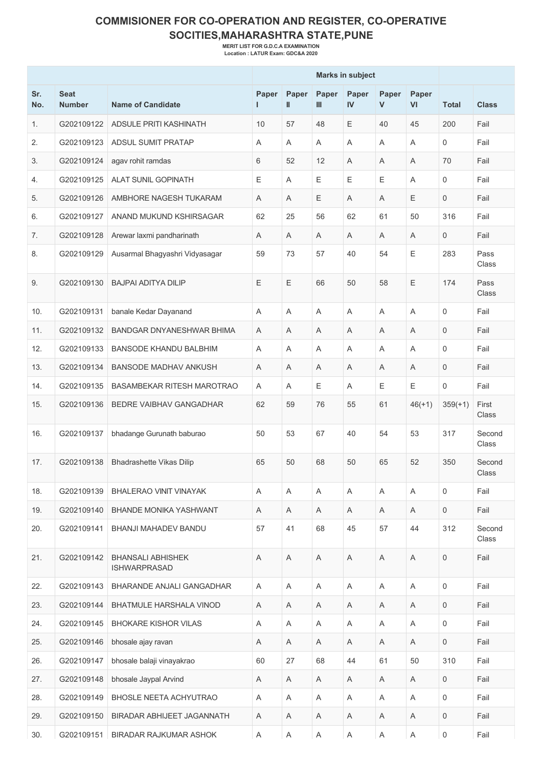## **COMMISIONER FOR CO-OPERATION AND REGISTER, CO-OPERATIVE SOCITIES,MAHARASHTRA STATE,PUNE**

**MERIT LIST FOR G.D.C.A EXAMINATION Location : LATUR Exam: GDC&A 2020**

|            |                              |                                                 |             |            |             | <b>Marks in subject</b> |             |             |                     |                 |
|------------|------------------------------|-------------------------------------------------|-------------|------------|-------------|-------------------------|-------------|-------------|---------------------|-----------------|
| Sr.<br>No. | <b>Seat</b><br><b>Number</b> | <b>Name of Candidate</b>                        | Paper<br>п  | Paper<br>Ш | Paper<br>Ш  | Paper<br>$\mathbf{N}$   | Paper<br>V  | Paper<br>VI | <b>Total</b>        | <b>Class</b>    |
| 1.         | G202109122                   | <b>ADSULE PRITI KASHINATH</b>                   | 10          | 57         | 48          | E                       | 40          | 45          | 200                 | Fail            |
| 2.         | G202109123                   | ADSUL SUMIT PRATAP                              | A           | A          | Α           | A                       | Α           | A           | $\mathbf 0$         | Fail            |
| 3.         | G202109124                   | agav rohit ramdas                               | 6           | 52         | 12          | Α                       | Α           | A           | 70                  | Fail            |
| 4.         | G202109125                   | <b>ALAT SUNIL GOPINATH</b>                      | Ε           | A          | Ε           | Ε                       | Е           | A           | $\mathbf 0$         | Fail            |
| 5.         | G202109126                   | AMBHORE NAGESH TUKARAM                          | A           | A          | Ε           | A                       | A           | Е           | $\mathbf 0$         | Fail            |
| 6.         | G202109127                   | ANAND MUKUND KSHIRSAGAR                         | 62          | 25         | 56          | 62                      | 61          | 50          | 316                 | Fail            |
| 7.         | G202109128                   | Arewar laxmi pandharinath                       | A           | Α          | Α           | A                       | A           | A           | $\mathbf 0$         | Fail            |
| 8.         | G202109129                   | Ausarmal Bhagyashri Vidyasagar                  | 59          | 73         | 57          | 40                      | 54          | E           | 283                 | Pass<br>Class   |
| 9.         | G202109130                   | <b>BAJPAI ADITYA DILIP</b>                      | E           | Ε          | 66          | 50                      | 58          | E           | 174                 | Pass<br>Class   |
| 10.        | G202109131                   | banale Kedar Dayanand                           | A           | A          | A           | A                       | A           | A           | $\mathbf 0$         | Fail            |
| 11.        | G202109132                   | <b>BANDGAR DNYANESHWAR BHIMA</b>                | A           | A          | Α           | A                       | A           | A           | $\mathbf 0$         | Fail            |
| 12.        | G202109133                   | <b>BANSODE KHANDU BALBHIM</b>                   | A           | A          | Α           | A                       | A           | A           | $\mathbf 0$         | Fail            |
| 13.        | G202109134                   | <b>BANSODE MADHAV ANKUSH</b>                    | A           | A          | Α           | Α                       | Α           | A           | 0                   | Fail            |
| 14.        | G202109135                   | <b>BASAMBEKAR RITESH MAROTRAO</b>               | A           | A          | Ε           | A                       | Е           | Ε           | 0                   | Fail            |
| 15.        | G202109136                   | BEDRE VAIBHAV GANGADHAR                         | 62          | 59         | 76          | 55                      | 61          | $46(+1)$    | $359(+1)$           | First<br>Class  |
| 16.        | G202109137                   | bhadange Gurunath baburao                       | 50          | 53         | 67          | 40                      | 54          | 53          | 317                 | Second<br>Class |
| 17.        | G202109138                   | <b>Bhadrashette Vikas Dilip</b>                 | 65          | 50         | 68          | 50                      | 65          | 52          | 350                 | Second<br>Class |
| 18.        | G202109139                   | <b>BHALERAO VINIT VINAYAK</b>                   | A           | Α          | Α           | A                       | A           | $\mathsf A$ | $\mathbf 0$         | Fail            |
| 19.        | G202109140                   | BHANDE MONIKA YASHWANT                          | Α           | Α          | Α           | Α                       | Α           | A           | $\mathbf 0$         | Fail            |
| 20.        | G202109141                   | <b>BHANJI MAHADEV BANDU</b>                     | 57          | 41         | 68          | 45                      | 57          | 44          | 312                 | Second<br>Class |
| 21.        | G202109142                   | <b>BHANSALI ABHISHEK</b><br><b>ISHWARPRASAD</b> | $\mathsf A$ | Α          | $\mathsf A$ | $\mathsf A$             | Α           | A           | $\mathsf{O}\xspace$ | Fail            |
| 22.        | G202109143                   | BHARANDE ANJALI GANGADHAR                       | A           | Α          | A           | Α                       | Α           | A           | $\mathbf 0$         | Fail            |
| 23.        | G202109144                   | BHATMULE HARSHALA VINOD                         | $\mathsf A$ | Α          | A           | A                       | Α           | A           | $\mathsf{O}\xspace$ | Fail            |
| 24.        | G202109145                   | <b>BHOKARE KISHOR VILAS</b>                     | A           | Α          | Α           | Α                       | Α           | Α           | $\mathbf 0$         | Fail            |
| 25.        | G202109146                   | bhosale ajay ravan                              | Α           | Α          | Α           | Α                       | Α           | A           | $\mathsf{O}\xspace$ | Fail            |
| 26.        | G202109147                   | bhosale balaji vinayakrao                       | 60          | 27         | 68          | 44                      | 61          | 50          | 310                 | Fail            |
| 27.        | G202109148                   | bhosale Jaypal Arvind                           | Α           | A          | Α           | Α                       | Α           | A           | $\mathbf 0$         | Fail            |
| 28.        | G202109149                   | BHOSLE NEETA ACHYUTRAO                          | A           | Α          | A           | A                       | Α           | A           | $\mathsf{O}\xspace$ | Fail            |
| 29.        | G202109150                   | BIRADAR ABHIJEET JAGANNATH                      | Α           | A          | Α           | Α                       | Α           | A           | 0                   | Fail            |
| 30.        | G202109151                   | BIRADAR RAJKUMAR ASHOK                          | $\mathsf A$ | A          | $\mathsf A$ | $\mathsf A$             | $\mathsf A$ | A           | $\mathsf{O}\xspace$ | Fail            |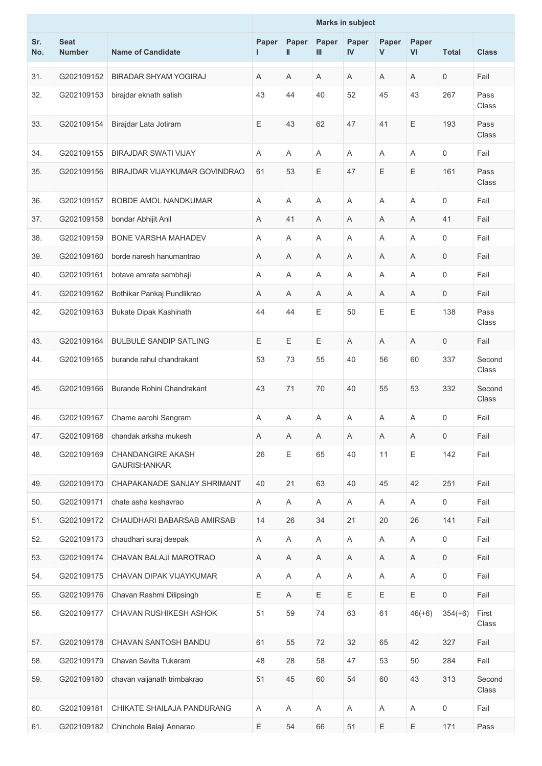|            |                              |                                                 |             |            |            | <b>Marks in subject</b> |             |                           |                     |                 |
|------------|------------------------------|-------------------------------------------------|-------------|------------|------------|-------------------------|-------------|---------------------------|---------------------|-----------------|
| Sr.<br>No. | <b>Seat</b><br><b>Number</b> | <b>Name of Candidate</b>                        | Paper<br>L  | Paper<br>Ш | Paper<br>Ш | Paper<br>IV             | Paper<br>V  | Paper<br>VI               | <b>Total</b>        | <b>Class</b>    |
| 31.        | G202109152                   | <b>BIRADAR SHYAM YOGIRAJ</b>                    | Α           | Α          | A          | A                       | A           | Α                         | 0                   | Fail            |
| 32.        | G202109153                   | birajdar eknath satish                          | 43          | 44         | 40         | 52                      | 45          | 43                        | 267                 | Pass<br>Class   |
| 33.        | G202109154                   | Birajdar Lata Jotiram                           | Ε           | 43         | 62         | 47                      | 41          | E                         | 193                 | Pass<br>Class   |
| 34.        | G202109155                   | <b>BIRAJDAR SWATI VIJAY</b>                     | Α           | Α          | A          | Α                       | Α           | Α                         | 0                   | Fail            |
| 35.        | G202109156                   | BIRAJDAR VIJAYKUMAR GOVINDRAO                   | 61          | 53         | Ε          | 47                      | Ε           | Ε                         | 161                 | Pass<br>Class   |
| 36.        | G202109157                   | <b>BOBDE AMOL NANDKUMAR</b>                     | A           | Α          | A          | A                       | A           | A                         | $\mathsf{O}\xspace$ | Fail            |
| 37.        | G202109158                   | bondar Abhijit Anil                             | Α           | 41         | A          | A                       | A           | Α                         | 41                  | Fail            |
| 38.        | G202109159                   | <b>BONE VARSHA MAHADEV</b>                      | A           | Α          | A          | A                       | Α           | A                         | $\mathbf 0$         | Fail            |
| 39.        | G202109160                   | borde naresh hanumantrao                        | Α           | Α          | A          | A                       | A           | A                         | $\mathbf 0$         | Fail            |
| 40.        | G202109161                   | botave amrata sambhaji                          | Α           | Α          | Α          | A                       | Α           | A                         | $\mathsf{O}\xspace$ | Fail            |
| 41.        | G202109162                   | Bothikar Pankaj Pundlikrao                      | A           | Α          | Α          | A                       | Α           | A                         | $\mathsf{O}\xspace$ | Fail            |
| 42.        | G202109163                   | <b>Bukate Dipak Kashinath</b>                   | 44          | 44         | Ε          | 50                      | Е           | E                         | 138                 | Pass<br>Class   |
| 43.        | G202109164                   | <b>BULBULE SANDIP SATLING</b>                   | E           | Ε          | Ε          | A                       | A           | A                         | $\mathsf{O}\xspace$ | Fail            |
| 44.        | G202109165                   | burande rahul chandrakant                       | 53          | 73         | 55         | 40                      | 56          | 60                        | 337                 | Second<br>Class |
| 45.        | G202109166                   | Burande Rohini Chandrakant                      | 43          | 71         | 70         | 40                      | 55          | 53                        | 332                 | Second<br>Class |
| 46.        | G202109167                   | Chame aarohi Sangram                            | A           | Α          | Α          | A                       | Α           | Α                         | 0                   | Fail            |
| 47.        | G202109168                   | chandak arksha mukesh                           | Α           | A          | A          | A                       | A           | A                         | $\mathsf{O}$        | Fail            |
| 48.        | G202109169                   | <b>CHANDANGIRE AKASH</b><br><b>GAURISHANKAR</b> | 26          | Ε          | 65         | 40                      | 11          | Ε                         | 142                 | Fail            |
| 49.        | G202109170                   | CHAPAKANADE SANJAY SHRIMANT                     | 40          | 21         | 63         | 40                      | 45          | 42                        | 251                 | Fail            |
| 50.        | G202109171                   | chate asha keshavrao                            | Α           | A          | Α          | Α                       | A           | A                         | $\mathsf{O}$        | Fail            |
| 51.        | G202109172                   | CHAUDHARI BABARSAB AMIRSAB                      | 14          | 26         | 34         | 21                      | 20          | 26                        | 141                 | Fail            |
| 52.        | G202109173                   | chaudhari suraj deepak                          | $\mathsf A$ | A          | A          | A                       | Α           | $\boldsymbol{\mathsf{A}}$ | 0                   | Fail            |
| 53.        | G202109174                   | CHAVAN BALAJI MAROTRAO                          | Α           | A          | Α          | Α                       | A           | Α                         | $\mathsf{O}$        | Fail            |
| 54.        | G202109175                   | CHAVAN DIPAK VIJAYKUMAR                         | A           | Α          | A          | A                       | Α           | A                         | $\mathsf{O}$        | Fail            |
| 55.        | G202109176                   | Chavan Rashmi Dilipsingh                        | Ε           | A          | Ε          | E                       | Ε           | Ε                         | $\mathsf{O}$        | Fail            |
| 56.        | G202109177                   | CHAVAN RUSHIKESH ASHOK                          | 51          | 59         | 74         | 63                      | 61          | $46(+6)$                  | $354(+6)$           | First<br>Class  |
| 57.        | G202109178                   | CHAVAN SANTOSH BANDU                            | 61          | 55         | 72         | 32                      | 65          | 42                        | 327                 | Fail            |
| 58.        | G202109179                   | Chavan Savita Tukaram                           | 48          | 28         | 58         | 47                      | 53          | 50                        | 284                 | Fail            |
| 59.        | G202109180                   | chavan vaijanath trimbakrao                     | 51          | 45         | 60         | 54                      | 60          | 43                        | 313                 | Second<br>Class |
| 60.        | G202109181                   | CHIKATE SHAILAJA PANDURANG                      | $\mathsf A$ | Α          | A          | A                       | Α           | $\boldsymbol{\mathsf{A}}$ | $\mathsf{O}\xspace$ | Fail            |
| 61.        | G202109182                   | Chinchole Balaji Annarao                        | Ε           | 54         | 66         | 51                      | $\mathsf E$ | Ε                         | 171                 | Pass            |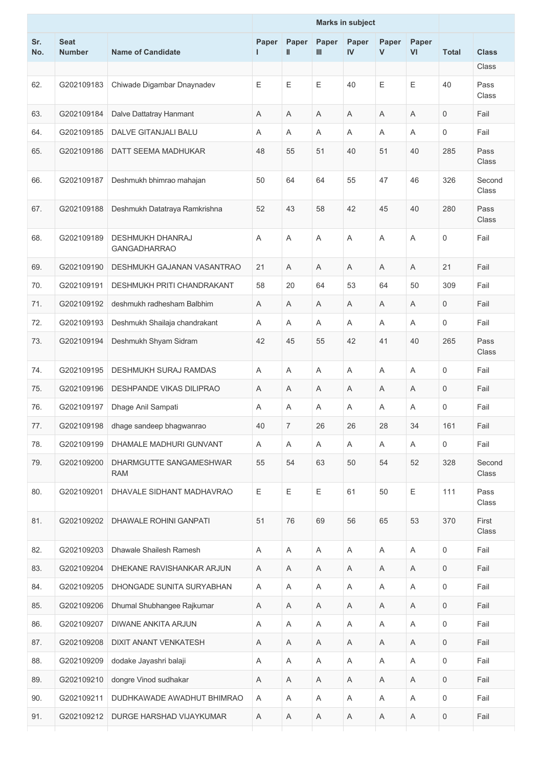|            |                              |                                                |       |                |                         | <b>Marks in subject</b> |                           |             |              |                       |
|------------|------------------------------|------------------------------------------------|-------|----------------|-------------------------|-------------------------|---------------------------|-------------|--------------|-----------------------|
| Sr.<br>No. | <b>Seat</b><br><b>Number</b> | <b>Name of Candidate</b>                       | Paper | Paper<br>I     | Paper<br>$\mathbf{III}$ | Paper<br>IV             | Paper<br>$\mathsf{V}$     | Paper<br>VI | <b>Total</b> | <b>Class</b><br>Class |
| 62.        | G202109183                   | Chiwade Digambar Dnaynadev                     | Е     | Ε              | Ε                       | 40                      | $\mathsf E$               | Ε           | 40           | Pass<br>Class         |
| 63.        | G202109184                   | Dalve Dattatray Hanmant                        | A     | A              | A                       | Α                       | A                         | A           | 0            | Fail                  |
| 64.        | G202109185                   | DALVE GITANJALI BALU                           | Α     | A              | A                       | A                       | Α                         | Α           | 0            | Fail                  |
| 65.        | G202109186                   | DATT SEEMA MADHUKAR                            | 48    | 55             | 51                      | 40                      | 51                        | 40          | 285          | Pass<br>Class         |
| 66.        | G202109187                   | Deshmukh bhimrao mahajan                       | 50    | 64             | 64                      | 55                      | 47                        | 46          | 326          | Second<br>Class       |
| 67.        | G202109188                   | Deshmukh Datatraya Ramkrishna                  | 52    | 43             | 58                      | 42                      | 45                        | 40          | 280          | Pass<br>Class         |
| 68.        | G202109189                   | <b>DESHMUKH DHANRAJ</b><br><b>GANGADHARRAO</b> | Α     | A              | A                       | A                       | A                         | Α           | 0            | Fail                  |
| 69.        | G202109190                   | DESHMUKH GAJANAN VASANTRAO                     | 21    | A              | A                       | Α                       | A                         | A           | 21           | Fail                  |
| 70.        | G202109191                   | DESHMUKH PRITI CHANDRAKANT                     | 58    | 20             | 64                      | 53                      | 64                        | 50          | 309          | Fail                  |
| 71.        | G202109192                   | deshmukh radhesham Balbhim                     | Α     | Α              | Α                       | A                       | A                         | Α           | 0            | Fail                  |
| 72.        | G202109193                   | Deshmukh Shailaja chandrakant                  | Α     | A              | A                       | Α                       | A                         | A           | 0            | Fail                  |
| 73.        | G202109194                   | Deshmukh Shyam Sidram                          | 42    | 45             | 55                      | 42                      | 41                        | 40          | 265          | Pass<br>Class         |
| 74.        | G202109195                   | DESHMUKH SURAJ RAMDAS                          | A     | A              | A                       | Α                       | A                         | A           | 0            | Fail                  |
| 75.        | G202109196                   | DESHPANDE VIKAS DILIPRAO                       | Α     | Α              | Α                       | A                       | A                         | A           | 0            | Fail                  |
| 76.        | G202109197                   | Dhage Anil Sampati                             | Α     | A              | A                       | Α                       | Α                         | Α           | 0            | Fail                  |
| 77.        |                              | G202109198   dhage sandeep bhagwanrao          | 40    | $\overline{7}$ | 26                      | 26                      | 28                        | 34          | 161          | Fail                  |
| 78.        | G202109199                   | DHAMALE MADHURI GUNVANT                        | A     | Α              | Α                       | A                       | A                         | Α           | 0            | Fail                  |
| 79.        | G202109200                   | DHARMGUTTE SANGAMESHWAR<br><b>RAM</b>          | 55    | 54             | 63                      | 50                      | 54                        | 52          | 328          | Second<br>Class       |
| 80.        | G202109201                   | DHAVALE SIDHANT MADHAVRAO                      | E     | Ε              | $\mathsf E$             | 61                      | 50                        | Ε           | 111          | Pass<br>Class         |
| 81.        | G202109202                   | <b>DHAWALE ROHINI GANPATI</b>                  | 51    | 76             | 69                      | 56                      | 65                        | 53          | 370          | First<br>Class        |
| 82.        | G202109203                   | Dhawale Shailesh Ramesh                        | Α     | A              | Α                       | A                       | $\boldsymbol{\mathsf{A}}$ | A           | 0            | Fail                  |
| 83.        | G202109204                   | DHEKANE RAVISHANKAR ARJUN                      | Α     | A              | Α                       | A                       | A                         | Α           | 0            | Fail                  |
| 84.        | G202109205                   | DHONGADE SUNITA SURYABHAN                      | A     | A              | Α                       | Α                       | $\boldsymbol{\mathsf{A}}$ | A           | 0            | Fail                  |
| 85.        | G202109206                   | Dhumal Shubhangee Rajkumar                     | Α     | Α              | Α                       | A                       | A                         | A           | 0            | Fail                  |
| 86.        | G202109207                   | DIWANE ANKITA ARJUN                            | Α     | A              | A                       | A                       | A                         | Α           | 0            | Fail                  |
| 87.        | G202109208                   | DIXIT ANANT VENKATESH                          | Α     | $\mathsf A$    | Α                       | A                       | A                         | Α           | 0            | Fail                  |
| 88.        | G202109209                   | dodake Jayashri balaji                         | Α     | Α              | A                       | A                       | Α                         | A           | 0            | Fail                  |
| 89.        | G202109210                   | dongre Vinod sudhakar                          | Α     | Α              | Α                       | A                       | A                         | A           | 0            | Fail                  |
| 90.        | G202109211                   | DUDHKAWADE AWADHUT BHIMRAO                     | Α     | A              | A                       | A                       | A                         | A           | 0            | Fail                  |
| 91.        | G202109212                   | DURGE HARSHAD VIJAYKUMAR                       | Α     | A              | A                       | A                       | A                         | A           | 0            | Fail                  |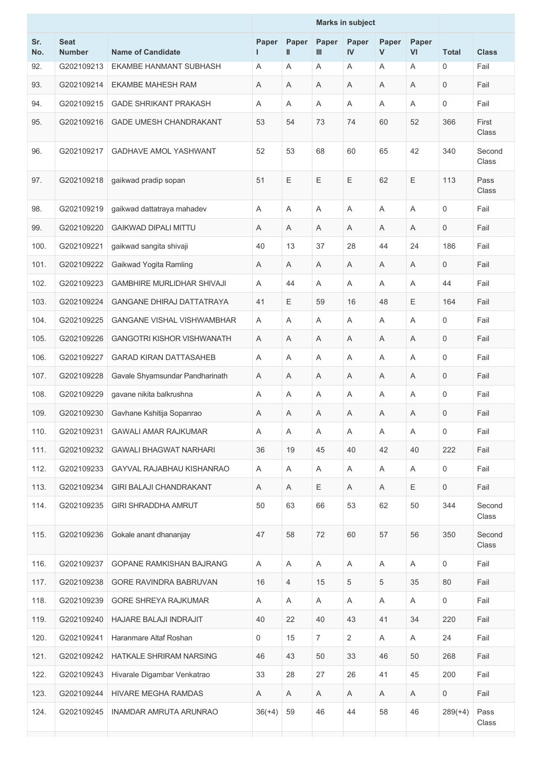|            |                              |                                   |            |                |                | <b>Marks in subject</b> |            |                |                     |                 |
|------------|------------------------------|-----------------------------------|------------|----------------|----------------|-------------------------|------------|----------------|---------------------|-----------------|
| Sr.<br>No. | <b>Seat</b><br><b>Number</b> | <b>Name of Candidate</b>          | Paper<br>ш | Paper<br>Ш     | Paper<br>Ш     | Paper<br>IV             | Paper<br>V | Paper<br>VI    | <b>Total</b>        | <b>Class</b>    |
| 92.        | G202109213                   | EKAMBE HANMANT SUBHASH            | A          | Α              | Α              | Α                       | A          | A              | 0                   | Fail            |
| 93.        | G202109214                   | <b>EKAMBE MAHESH RAM</b>          | A          | Α              | A              | A                       | A          | A              | $\mathbf 0$         | Fail            |
| 94.        | G202109215                   | <b>GADE SHRIKANT PRAKASH</b>      | Α          | Α              | Α              | A                       | A          | A              | $\mathbf 0$         | Fail            |
| 95.        | G202109216                   | GADE UMESH CHANDRAKANT            | 53         | 54             | 73             | 74                      | 60         | 52             | 366                 | First<br>Class  |
| 96.        | G202109217                   | <b>GADHAVE AMOL YASHWANT</b>      | 52         | 53             | 68             | 60                      | 65         | 42             | 340                 | Second<br>Class |
| 97.        | G202109218                   | gaikwad pradip sopan              | 51         | E              | Ε              | Ε                       | 62         | E              | 113                 | Pass<br>Class   |
| 98.        | G202109219                   | gaikwad dattatraya mahadev        | A          | Α              | Α              | A                       | A          | A              | $\mathbf 0$         | Fail            |
| 99.        | G202109220                   | <b>GAIKWAD DIPALI MITTU</b>       | A          | Α              | A              | Α                       | Α          | A              | $\mathbf 0$         | Fail            |
| 100.       | G202109221                   | gaikwad sangita shivaji           | 40         | 13             | 37             | 28                      | 44         | 24             | 186                 | Fail            |
| 101.       | G202109222                   | Gaikwad Yogita Ramling            | A          | Α              | Α              | A                       | Α          | A              | $\mathbf 0$         | Fail            |
| 102.       | G202109223                   | <b>GAMBHIRE MURLIDHAR SHIVAJI</b> | A          | 44             | Α              | Α                       | Α          | A              | 44                  | Fail            |
| 103.       | G202109224                   | <b>GANGANE DHIRAJ DATTATRAYA</b>  | 41         | Е              | 59             | 16                      | 48         | Ε              | 164                 | Fail            |
| 104.       | G202109225                   | <b>GANGANE VISHAL VISHWAMBHAR</b> | A          | A              | A              | A                       | A          | $\overline{A}$ | $\mathbf 0$         | Fail            |
| 105.       | G202109226                   | <b>GANGOTRI KISHOR VISHWANATH</b> | A          | Α              | Α              | Α                       | Α          | Α              | $\mathbf 0$         | Fail            |
| 106.       | G202109227                   | <b>GARAD KIRAN DATTASAHEB</b>     | Α          | Α              | Α              | A                       | Α          | A              | 0                   | Fail            |
| 107.       | G202109228                   | Gavale Shyamsundar Pandharinath   | Α          | A              | A              | A                       | Α          | A              | $\mathbf 0$         | Fail            |
| 108.       | G202109229                   | gavane nikita balkrushna          | A          | Α              | Α              | A                       | Α          | A              | 0                   | Fail            |
| 109.       | G202109230                   | Gavhane Kshitija Sopanrao         | A          | Α              | A              | A                       | A          | A              | $\mathbf 0$         | Fail            |
| 110.       | G202109231                   | <b>GAWALI AMAR RAJKUMAR</b>       | Α          | A              | Α              | Α                       | A          | Α              | $\mathsf{O}\xspace$ | Fail            |
| 111.       | G202109232                   | <b>GAWALI BHAGWAT NARHARI</b>     | 36         | 19             | 45             | 40                      | 42         | 40             | 222                 | Fail            |
| 112.       | G202109233                   | <b>GAYVAL RAJABHAU KISHANRAO</b>  | A          | A              | A              | Α                       | A          | A              | 0                   | Fail            |
| 113.       | G202109234                   | <b>GIRI BALAJI CHANDRAKANT</b>    | Α          | Α              | Ε              | A                       | A          | Ε              | $\mathsf{O}$        | Fail            |
| 114.       | G202109235                   | <b>GIRI SHRADDHA AMRUT</b>        | 50         | 63             | 66             | 53                      | 62         | 50             | 344                 | Second<br>Class |
| 115.       | G202109236                   | Gokale anant dhananjay            | 47         | 58             | 72             | 60                      | 57         | 56             | 350                 | Second<br>Class |
| 116.       | G202109237                   | GOPANE RAMKISHAN BAJRANG          | Α          | Α              | $\mathsf A$    | Α                       | A          | A              | $\mathsf{O}$        | Fail            |
| 117.       | G202109238                   | GORE RAVINDRA BABRUVAN            | 16         | $\overline{4}$ | 15             | 5                       | 5          | 35             | 80                  | Fail            |
| 118.       | G202109239                   | <b>GORE SHREYA RAJKUMAR</b>       | Α          | A              | Α              | Α                       | Α          | A              | 0                   | Fail            |
| 119.       | G202109240                   | HAJARE BALAJI INDRAJIT            | 40         | 22             | 40             | 43                      | 41         | 34             | 220                 | Fail            |
| 120.       | G202109241                   | Haranmare Altaf Roshan            | 0          | 15             | $\overline{7}$ | $\overline{2}$          | A          | A              | 24                  | Fail            |
| 121.       | G202109242                   | HATKALE SHRIRAM NARSING           | 46         | 43             | 50             | 33                      | 46         | 50             | 268                 | Fail            |
| 122.       | G202109243                   | Hivarale Digambar Venkatrao       | 33         | 28             | 27             | 26                      | 41         | 45             | 200                 | Fail            |
| 123.       | G202109244                   | HIVARE MEGHA RAMDAS               | Α          | A              | A              | Α                       | A          | Α              | 0                   | Fail            |
| 124.       | G202109245                   | INAMDAR AMRUTA ARUNRAO            | $36(+4)$   | 59             | 46             | 44                      | 58         | 46             | $289(+4)$           | Pass<br>Class   |
|            |                              |                                   |            |                |                |                         |            |                |                     |                 |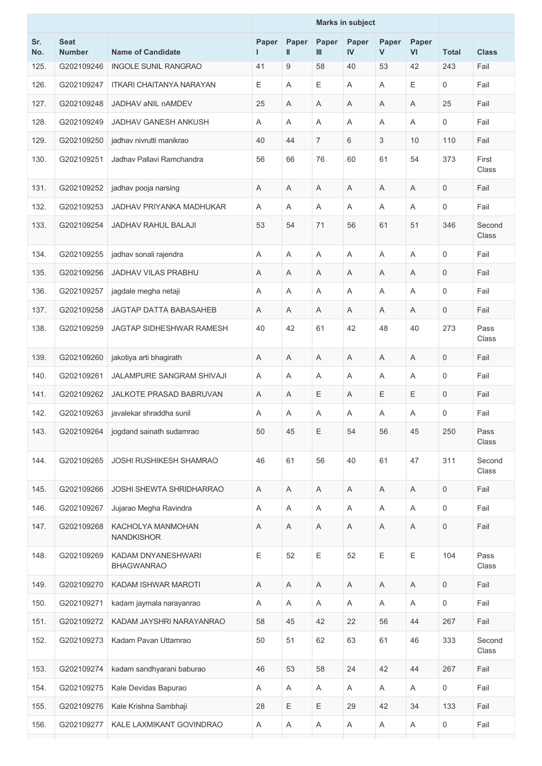|            |                              |                                         |            |            |             | <b>Marks in subject</b> |            |                           |                     |                 |
|------------|------------------------------|-----------------------------------------|------------|------------|-------------|-------------------------|------------|---------------------------|---------------------|-----------------|
| Sr.<br>No. | <b>Seat</b><br><b>Number</b> | <b>Name of Candidate</b>                | Paper<br>L | Paper<br>Ш | Paper<br>Ш  | Paper<br>IV             | Paper<br>V | Paper<br>VI               | <b>Total</b>        | <b>Class</b>    |
| 125.       | G202109246                   | <b>INGOLE SUNIL RANGRAO</b>             | 41         | 9          | 58          | 40                      | 53         | 42                        | 243                 | Fail            |
| 126.       | G202109247                   | <b>ITKARI CHAITANYA NARAYAN</b>         | Ε          | A          | Е           | A                       | Α          | Е                         | 0                   | Fail            |
| 127.       | G202109248                   | JADHAV aNIL nAMDEV                      | 25         | Α          | Α           | A                       | Α          | A                         | 25                  | Fail            |
| 128.       | G202109249                   | JADHAV GANESH ANKUSH                    | A          | A          | A           | A                       | Α          | A                         | 0                   | Fail            |
| 129.       | G202109250                   | jadhav nivrutti manikrao                | 40         | 44         | 7           | 6                       | 3          | 10                        | 110                 | Fail            |
| 130.       | G202109251                   | Jadhav Pallavi Ramchandra               | 56         | 66         | 76          | 60                      | 61         | 54                        | 373                 | First<br>Class  |
| 131.       | G202109252                   | jadhav pooja narsing                    | Α          | Α          | A           | A                       | Α          | A                         | $\mathbf 0$         | Fail            |
| 132.       | G202109253                   | JADHAV PRIYANKA MADHUKAR                | A          | Α          | A           | A                       | A          | A                         | 0                   | Fail            |
| 133.       | G202109254                   | <b>JADHAV RAHUL BALAJI</b>              | 53         | 54         | 71          | 56                      | 61         | 51                        | 346                 | Second<br>Class |
| 134.       | G202109255                   | jadhav sonali rajendra                  | A          | A          | A           | A                       | A          | A                         | 0                   | Fail            |
| 135.       | G202109256                   | <b>JADHAV VILAS PRABHU</b>              | Α          | Α          | Α           | A                       | Α          | A                         | 0                   | Fail            |
| 136.       | G202109257                   | jagdale megha netaji                    | Α          | Α          | A           | A                       | Α          | A                         | 0                   | Fail            |
| 137.       | G202109258                   | JAGTAP DATTA BABASAHEB                  | A          | A          | A           | A                       | A          | A                         | 0                   | Fail            |
| 138.       | G202109259                   | JAGTAP SIDHESHWAR RAMESH                | 40         | 42         | 61          | 42                      | 48         | 40                        | 273                 | Pass<br>Class   |
| 139.       | G202109260                   | jakotiya arti bhagirath                 | A          | Α          | A           | A                       | Α          | A                         | $\mathbf 0$         | Fail            |
| 140.       | G202109261                   | JALAMPURE SANGRAM SHIVAJI               | A          | A          | A           | A                       | A          | $\overline{A}$            | $\mathbf 0$         | Fail            |
| 141.       | G202109262                   | JALKOTE PRASAD BABRUVAN                 | A          | Α          | Ε           | A                       | Ε          | Ε                         | $\mathbf 0$         | Fail            |
| 142.       | G202109263                   | javalekar shraddha sunil                | A          | Α          | A           | A                       | A          | A                         | 0                   | Fail            |
| 143.       | G202109264                   | jogdand sainath sudamrao                | 50         | 45         | Ε           | 54                      | 56         | 45                        | 250                 | Pass<br>Class   |
| 144.       | G202109265                   | JOSHI RUSHIKESH SHAMRAO                 | 46         | 61         | 56          | 40                      | 61         | 47                        | 311                 | Second<br>Class |
| 145.       | G202109266                   | JOSHI SHEWTA SHRIDHARRAO                | A          | Α          | $\mathsf A$ | A                       | Α          | A                         | $\mathsf{O}\xspace$ | Fail            |
| 146.       | G202109267                   | Jujarao Megha Ravindra                  | Α          | A          | Α           | Α                       | A          | Α                         | $\mathbf 0$         | Fail            |
| 147.       | G202109268                   | KACHOLYA MANMOHAN<br><b>NANDKISHOR</b>  | Α          | Α          | $\mathsf A$ | Α                       | Α          | A                         | $\mathsf{O}\xspace$ | Fail            |
| 148.       | G202109269                   | KADAM DNYANESHWARI<br><b>BHAGWANRAO</b> | E          | 52         | $\mathsf E$ | 52                      | Ε          | E                         | 104                 | Pass<br>Class   |
| 149.       | G202109270                   | KADAM ISHWAR MAROTI                     | Α          | Α          | Α           | Α                       | A          | Α                         | $\mathsf{O}$        | Fail            |
| 150.       | G202109271                   | kadam jaymala narayanrao                | Α          | Α          | Α           | Α                       | Α          | $\boldsymbol{\mathsf{A}}$ | $\mathsf{O}\xspace$ | Fail            |
| 151.       | G202109272                   | KADAM JAYSHRI NARAYANRAO                | 58         | 45         | 42          | 22                      | 56         | 44                        | 267                 | Fail            |
| 152.       | G202109273                   | Kadam Pavan Uttamrao                    | 50         | 51         | 62          | 63                      | 61         | 46                        | 333                 | Second<br>Class |
| 153.       | G202109274                   | kadam sandhyarani baburao               | 46         | 53         | 58          | 24                      | 42         | 44                        | 267                 | Fail            |
| 154.       | G202109275                   | Kale Devidas Bapurao                    | Α          | A          | Α           | A                       | A          | Α                         | $\mathbf 0$         | Fail            |
| 155.       | G202109276                   | Kale Krishna Sambhaji                   | 28         | Ε          | $\mathsf E$ | 29                      | 42         | 34                        | 133                 | Fail            |
| 156.       | G202109277                   | KALE LAXMIKANT GOVINDRAO                | Α          | A          | $\mathsf A$ | A                       | A          | $\boldsymbol{\mathsf{A}}$ | 0                   | Fail            |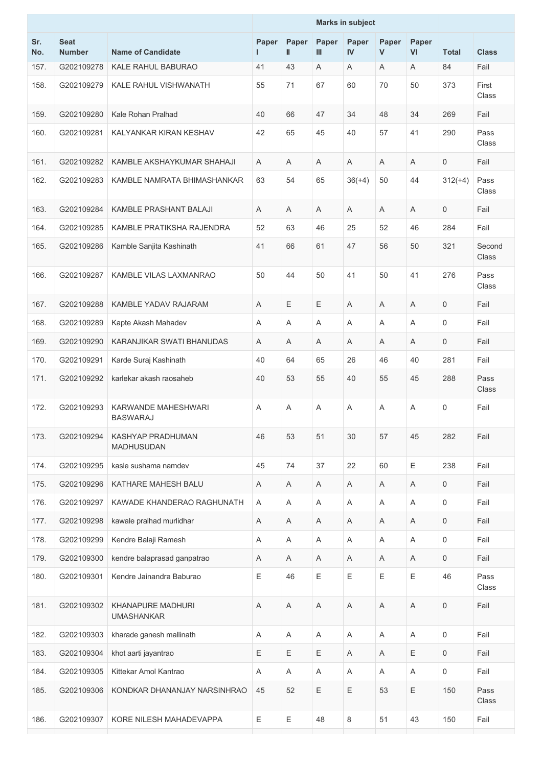|            |                              |                                               |             |             |              | <b>Marks in subject</b> |            |             |                     |                 |
|------------|------------------------------|-----------------------------------------------|-------------|-------------|--------------|-------------------------|------------|-------------|---------------------|-----------------|
| Sr.<br>No. | <b>Seat</b><br><b>Number</b> | <b>Name of Candidate</b>                      | Paper<br>ш  | Paper<br>Ш  | Paper<br>III | Paper<br>IV             | Paper<br>V | Paper<br>VI | <b>Total</b>        | <b>Class</b>    |
| 157.       | G202109278                   | <b>KALE RAHUL BABURAO</b>                     | 41          | 43          | A            | Α                       | A          | A           | 84                  | Fail            |
| 158.       | G202109279                   | KALE RAHUL VISHWANATH                         | 55          | 71          | 67           | 60                      | 70         | 50          | 373                 | First<br>Class  |
| 159.       | G202109280                   | Kale Rohan Pralhad                            | 40          | 66          | 47           | 34                      | 48         | 34          | 269                 | Fail            |
| 160.       | G202109281                   | KALYANKAR KIRAN KESHAV                        | 42          | 65          | 45           | 40                      | 57         | 41          | 290                 | Pass<br>Class   |
| 161.       | G202109282                   | KAMBLE AKSHAYKUMAR SHAHAJI                    | A           | A           | A            | A                       | A          | A           | $\mathbf 0$         | Fail            |
| 162.       | G202109283                   | KAMBLE NAMRATA BHIMASHANKAR                   | 63          | 54          | 65           | $36(+4)$                | 50         | 44          | $312(+4)$           | Pass<br>Class   |
| 163.       | G202109284                   | KAMBLE PRASHANT BALAJI                        | A           | A           | A            | A                       | A          | A           | $\mathbf 0$         | Fail            |
| 164.       | G202109285                   | KAMBLE PRATIKSHA RAJENDRA                     | 52          | 63          | 46           | 25                      | 52         | 46          | 284                 | Fail            |
| 165.       | G202109286                   | Kamble Sanjita Kashinath                      | 41          | 66          | 61           | 47                      | 56         | 50          | 321                 | Second<br>Class |
| 166.       | G202109287                   | KAMBLE VILAS LAXMANRAO                        | 50          | 44          | 50           | 41                      | 50         | 41          | 276                 | Pass<br>Class   |
| 167.       | G202109288                   | KAMBLE YADAV RAJARAM                          | A           | Е           | Е            | A                       | A          | A           | 0                   | Fail            |
| 168.       | G202109289                   | Kapte Akash Mahadev                           | A           | Α           | Α            | A                       | Α          | A           | $\mathbf 0$         | Fail            |
| 169.       | G202109290                   | KARANJIKAR SWATI BHANUDAS                     | A           | A           | A            | A                       | A          | A           | $\mathbf 0$         | Fail            |
| 170.       | G202109291                   | Karde Suraj Kashinath                         | 40          | 64          | 65           | 26                      | 46         | 40          | 281                 | Fail            |
| 171.       | G202109292                   | karlekar akash raosaheb                       | 40          | 53          | 55           | 40                      | 55         | 45          | 288                 | Pass<br>Class   |
| 172.       | G202109293                   | KARWANDE MAHESHWARI<br><b>BASWARAJ</b>        | Α           | Α           | Α            | Α                       | Α          | A           | 0                   | Fail            |
| 173.       | G202109294                   | KASHYAP PRADHUMAN<br>MADHUSUDAN               | 46          | 53          | 51           | 30                      | 57         | 45          | 282                 | Fail            |
| 174.       | G202109295                   | kasle sushama namdev                          | 45          | 74          | 37           | 22                      | 60         | Ε           | 238                 | Fail            |
| 175.       | G202109296                   | KATHARE MAHESH BALU                           | Α           | $\mathsf A$ | Α            | Α                       | Α          | $\mathsf A$ | $\mathbf 0$         | Fail            |
| 176.       | G202109297                   | KAWADE KHANDERAO RAGHUNATH                    | A           | A           | Α            | A                       | A          | A           | $\mathsf{O}\xspace$ | Fail            |
| 177.       | G202109298                   | kawale pralhad murlidhar                      | Α           | Α           | Α            | Α                       | Α          | A           | $\mathbf 0$         | Fail            |
| 178.       | G202109299                   | Kendre Balaji Ramesh                          | A           | A           | $\mathsf A$  | A                       | Α          | A           | $\mathsf{O}\xspace$ | Fail            |
| 179.       | G202109300                   | kendre balaprasad ganpatrao                   | Α           | A           | Α            | Α                       | A          | Α           | $\mathbf 0$         | Fail            |
| 180.       | G202109301                   | Kendre Jainandra Baburao                      | Ε           | 46          | Ε            | Е                       | Ε          | E           | 46                  | Pass<br>Class   |
| 181.       | G202109302                   | <b>KHANAPURE MADHURI</b><br><b>UMASHANKAR</b> | $\mathsf A$ | Α           | $\mathsf A$  | $\mathsf A$             | Α          | A           | $\mathsf{O}\xspace$ | Fail            |
| 182.       | G202109303                   | kharade ganesh mallinath                      | Α           | A           | A            | A                       | A          | A           | $\mathsf{O}\xspace$ | Fail            |
| 183.       | G202109304                   | khot aarti jayantrao                          | Ε           | Ε           | Ε            | A                       | Α          | Ε           | $\mathsf{O}\xspace$ | Fail            |
| 184.       | G202109305                   | Kittekar Amol Kantrao                         | A           | A           | A            | A                       | A          | A           | $\mathbf 0$         | Fail            |
| 185.       | G202109306                   | KONDKAR DHANANJAY NARSINHRAO                  | 45          | 52          | Е            | Ε                       | 53         | Ε           | 150                 | Pass<br>Class   |
| 186.       | G202109307                   | KORE NILESH MAHADEVAPPA                       | Ε           | Ε           | 48           | 8                       | 51         | 43          | 150                 | Fail            |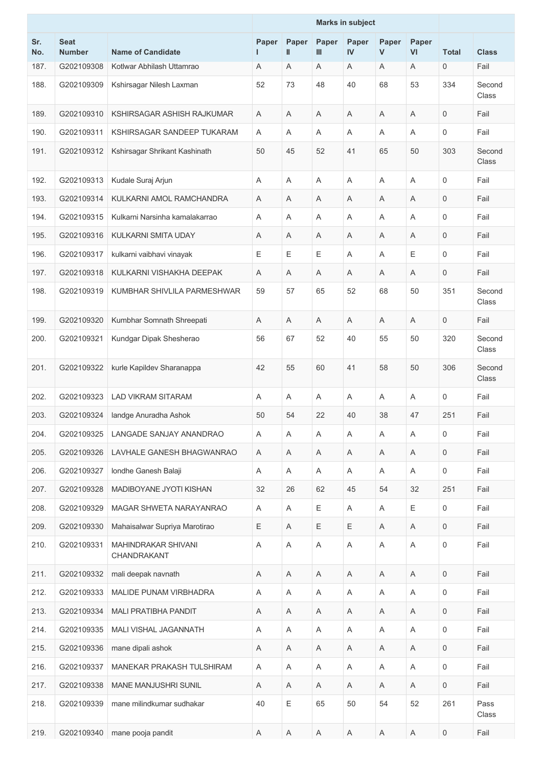|            |                              |                                    |            |             |             | <b>Marks in subject</b> |            |                           |                     |                 |
|------------|------------------------------|------------------------------------|------------|-------------|-------------|-------------------------|------------|---------------------------|---------------------|-----------------|
| Sr.<br>No. | <b>Seat</b><br><b>Number</b> | <b>Name of Candidate</b>           | Paper<br>L | Paper<br>Ш  | Paper<br>Ш  | Paper<br>IV             | Paper<br>V | Paper<br>VI               | <b>Total</b>        | <b>Class</b>    |
| 187.       | G202109308                   | Kotlwar Abhilash Uttamrao          | Α          | Α           | Α           | A                       | A          | A                         | 0                   | Fail            |
| 188.       | G202109309                   | Kshirsagar Nilesh Laxman           | 52         | 73          | 48          | 40                      | 68         | 53                        | 334                 | Second<br>Class |
| 189.       | G202109310                   | KSHIRSAGAR ASHISH RAJKUMAR         | A          | Α           | A           | A                       | A          | A                         | 0                   | Fail            |
| 190.       | G202109311                   | KSHIRSAGAR SANDEEP TUKARAM         | A          | A           | A           | A                       | A          | A                         | 0                   | Fail            |
| 191.       | G202109312                   | Kshirsagar Shrikant Kashinath      | 50         | 45          | 52          | 41                      | 65         | 50                        | 303                 | Second<br>Class |
| 192.       | G202109313                   | Kudale Suraj Arjun                 | A          | Α           | A           | A                       | Α          | A                         | $\mathbf 0$         | Fail            |
| 193.       | G202109314                   | KULKARNI AMOL RAMCHANDRA           | Α          | Α           | Α           | A                       | Α          | A                         | $\mathbf 0$         | Fail            |
| 194.       | G202109315                   | Kulkarni Narsinha kamalakarrao     | A          | Α           | Α           | A                       | Α          | A                         | 0                   | Fail            |
| 195.       | G202109316                   | KULKARNI SMITA UDAY                | Α          | Α           | Α           | A                       | Α          | Α                         | 0                   | Fail            |
| 196.       | G202109317                   | kulkarni vaibhavi vinayak          | E          | Е           | Е           | A                       | A          | Е                         | $\mathsf{O}\xspace$ | Fail            |
| 197.       | G202109318                   | KULKARNI VISHAKHA DEEPAK           | Α          | A           | Α           | A                       | Α          | A                         | $\mathbf 0$         | Fail            |
| 198.       | G202109319                   | KUMBHAR SHIVLILA PARMESHWAR        | 59         | 57          | 65          | 52                      | 68         | 50                        | 351                 | Second<br>Class |
| 199.       | G202109320                   | Kumbhar Somnath Shreepati          | A          | Α           | A           | A                       | A          | A                         | 0                   | Fail            |
| 200.       | G202109321                   | Kundgar Dipak Shesherao            | 56         | 67          | 52          | 40                      | 55         | 50                        | 320                 | Second<br>Class |
| 201.       | G202109322                   | kurle Kapildev Sharanappa          | 42         | 55          | 60          | 41                      | 58         | 50                        | 306                 | Second<br>Class |
| 202.       | G202109323                   | <b>LAD VIKRAM SITARAM</b>          | A          | A           | A           | A                       | A          | A                         | 0                   | Fail            |
| 203.       | G202109324                   | landge Anuradha Ashok              | 50         | 54          | 22          | 40                      | 38         | 47                        | 251                 | Fail            |
| 204.       | G202109325                   | LANGADE SANJAY ANANDRAO            | Α          | Α           | Α           | A                       | Α          | Α                         | 0                   | Fail            |
| 205.       | G202109326                   | LAVHALE GANESH BHAGWANRAO          | Α          | Α           | Α           | Α                       | Α          | A                         | $\mathsf{O}$        | Fail            |
| 206.       | G202109327                   | Iondhe Ganesh Balaji               | Α          | A           | Α           | Α                       | A          | Α                         | $\mathbf 0$         | Fail            |
| 207.       | G202109328                   | MADIBOYANE JYOTI KISHAN            | 32         | 26          | 62          | 45                      | 54         | 32                        | 251                 | Fail            |
| 208.       | G202109329                   | MAGAR SHWETA NARAYANRAO            | A          | Α           | Е           | A                       | A          | Е                         | 0                   | Fail            |
| 209.       | G202109330                   | Mahaisalwar Supriya Marotirao      | Ε          | Α           | Е           | E                       | Α          | $\boldsymbol{\mathsf{A}}$ | $\mathsf{O}$        | Fail            |
| 210.       | G202109331                   | MAHINDRAKAR SHIVANI<br>CHANDRAKANT | Α          | Α           | Α           | Α                       | Α          | A                         | $\mathsf{O}\xspace$ | Fail            |
| 211.       | G202109332                   | mali deepak navnath                | Α          | A           | Α           | Α                       | A          | Α                         | 0                   | Fail            |
| 212.       | G202109333                   | MALIDE PUNAM VIRBHADRA             | Α          | $\mathsf A$ | Α           | Α                       | Α          | $\boldsymbol{\mathsf{A}}$ | 0                   | Fail            |
| 213.       | G202109334                   | <b>MALI PRATIBHA PANDIT</b>        | Α          | A           | A           | A                       | A          | A                         | $\mathbf 0$         | Fail            |
| 214.       | G202109335                   | MALI VISHAL JAGANNATH              | A          | Α           | $\mathsf A$ | Α                       | Α          | $\boldsymbol{\mathsf{A}}$ | 0                   | Fail            |
| 215.       | G202109336                   | mane dipali ashok                  | Α          | Α           | Α           | Α                       | A          | Α                         | 0                   | Fail            |
| 216.       | G202109337                   | MANEKAR PRAKASH TULSHIRAM          | Α          | Α           | Α           | Α                       | Α          | Α                         | $\mathbf 0$         | Fail            |
| 217.       | G202109338                   | MANE MANJUSHRI SUNIL               | Α          | $\mathsf A$ | Α           | Α                       | Α          | A                         | 0                   | Fail            |
| 218.       | G202109339                   | mane milindkumar sudhakar          | 40         | Ε           | 65          | 50                      | 54         | 52                        | 261                 | Pass<br>Class   |
| 219.       | G202109340                   | mane pooja pandit                  | Α          | Α           | Α           | Α                       | Α          | Α                         | 0                   | Fail            |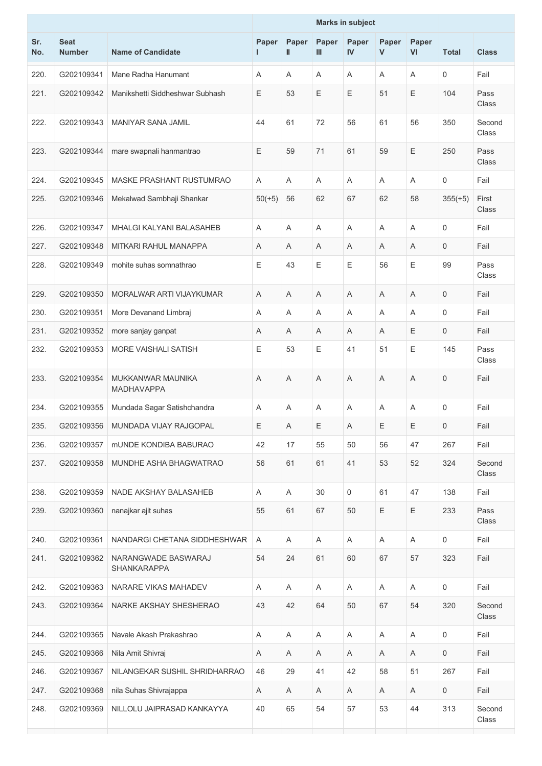|            |                              |                                           |             |             |              | <b>Marks in subject</b> |            |             |                     |                 |
|------------|------------------------------|-------------------------------------------|-------------|-------------|--------------|-------------------------|------------|-------------|---------------------|-----------------|
| Sr.<br>No. | <b>Seat</b><br><b>Number</b> | <b>Name of Candidate</b>                  | Paper<br>I. | Paper<br>Ш  | Paper<br>III | Paper<br>IV             | Paper<br>V | Paper<br>VI | <b>Total</b>        | <b>Class</b>    |
| 220.       | G202109341                   | Mane Radha Hanumant                       | A           | A           | A            | A                       | A          | A           | $\mathbf 0$         | Fail            |
| 221.       | G202109342                   | Manikshetti Siddheshwar Subhash           | E           | 53          | Е            | Ε                       | 51         | Ε           | 104                 | Pass<br>Class   |
| 222.       | G202109343                   | <b>MANIYAR SANA JAMIL</b>                 | 44          | 61          | 72           | 56                      | 61         | 56          | 350                 | Second<br>Class |
| 223.       | G202109344                   | mare swapnali hanmantrao                  | Ε           | 59          | 71           | 61                      | 59         | Ε           | 250                 | Pass<br>Class   |
| 224.       | G202109345                   | MASKE PRASHANT RUSTUMRAO                  | A           | A           | A            | A                       | A          | A           | $\mathsf{O}\xspace$ | Fail            |
| 225.       | G202109346                   | Mekalwad Sambhaji Shankar                 | $50(+5)$    | 56          | 62           | 67                      | 62         | 58          | $355(+5)$           | First<br>Class  |
| 226.       | G202109347                   | MHALGI KALYANI BALASAHEB                  | A           | Α           | A            | A                       | A          | A           | $\mathbf 0$         | Fail            |
| 227.       | G202109348                   | MITKARI RAHUL MANAPPA                     | Α           | A           | Α            | A                       | Α          | Α           | 0                   | Fail            |
| 228.       | G202109349                   | mohite suhas somnathrao                   | Ε           | 43          | Е            | Е                       | 56         | Е           | 99                  | Pass<br>Class   |
| 229.       | G202109350                   | MORALWAR ARTI VIJAYKUMAR                  | A           | Α           | Α            | A                       | Α          | A           | $\mathbf 0$         | Fail            |
| 230.       | G202109351                   | More Devanand Limbraj                     | Α           | Α           | Α            | A                       | Α          | Α           | 0                   | Fail            |
| 231.       | G202109352                   | more sanjay ganpat                        | A           | A           | A            | A                       | A          | Ε           | $\mathbf 0$         | Fail            |
| 232.       | G202109353                   | MORE VAISHALI SATISH                      | Ε           | 53          | Е            | 41                      | 51         | Ε           | 145                 | Pass<br>Class   |
| 233.       | G202109354                   | MUKKANWAR MAUNIKA<br><b>MADHAVAPPA</b>    | A           | Α           | A            | A                       | A          | A           | $\mathbf 0$         | Fail            |
| 234.       | G202109355                   | Mundada Sagar Satishchandra               | A           | A           | A            | A                       | A          | A           | 0                   | Fail            |
| 235.       | G202109356                   | MUNDADA VIJAY RAJGOPAL                    | $\mathsf E$ | $\mathsf A$ | Ε            | $\mathsf A$             | Ε          | Ε           | $\mathsf{O}$        | Fail            |
| 236.       | G202109357                   | <b>MUNDE KONDIBA BABURAO</b>              | 42          | 17          | 55           | 50                      | 56         | 47          | 267                 | Fail            |
| 237.       | G202109358                   | MUNDHE ASHA BHAGWATRAO                    | 56          | 61          | 61           | 41                      | 53         | 52          | 324                 | Second<br>Class |
| 238.       | G202109359                   | NADE AKSHAY BALASAHEB                     | Α           | A           | 30           | 0                       | 61         | 47          | 138                 | Fail            |
| 239.       | G202109360                   | nanajkar ajit suhas                       | 55          | 61          | 67           | 50                      | Ε          | Ε           | 233                 | Pass<br>Class   |
| 240.       | G202109361                   | NANDARGI CHETANA SIDDHESHWAR              | A           | Α           | A            | A                       | Α          | A           | $\mathsf{O}$        | Fail            |
| 241.       | G202109362                   | NARANGWADE BASWARAJ<br><b>SHANKARAPPA</b> | 54          | 24          | 61           | 60                      | 67         | 57          | 323                 | Fail            |
| 242.       | G202109363                   | NARARE VIKAS MAHADEV                      | Α           | Α           | Α            | A                       | A          | Α           | $\mathsf{O}$        | Fail            |
| 243.       | G202109364                   | NARKE AKSHAY SHESHERAO                    | 43          | 42          | 64           | 50                      | 67         | 54          | 320                 | Second<br>Class |
| 244.       | G202109365                   | Navale Akash Prakashrao                   | Α           | A           | Α            | Α                       | A          | Α           | 0                   | Fail            |
| 245.       | G202109366                   | Nila Amit Shivraj                         | A           | A           | A            | A                       | Α          | A           | $\mathsf{O}$        | Fail            |
| 246.       | G202109367                   | NILANGEKAR SUSHIL SHRIDHARRAO             | 46          | 29          | 41           | 42                      | 58         | 51          | 267                 | Fail            |
| 247.       | G202109368                   | nila Suhas Shivrajappa                    | Α           | A           | Α            | A                       | A          | A           | $\mathbf 0$         | Fail            |
| 248.       | G202109369                   | NILLOLU JAIPRASAD KANKAYYA                | 40          | 65          | 54           | 57                      | 53         | 44          | 313                 | Second<br>Class |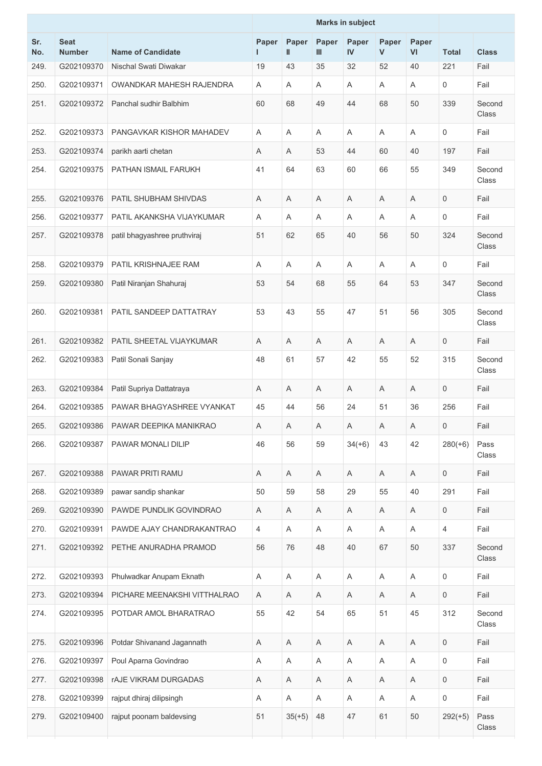|            |                              |                              |            |            |                           | <b>Marks in subject</b> |             |             |                     |                 |
|------------|------------------------------|------------------------------|------------|------------|---------------------------|-------------------------|-------------|-------------|---------------------|-----------------|
| Sr.<br>No. | <b>Seat</b><br><b>Number</b> | <b>Name of Candidate</b>     | Paper<br>L | Paper<br>Ш | Paper<br>Ш                | Paper<br><b>IV</b>      | Paper<br>V  | Paper<br>VI | <b>Total</b>        | <b>Class</b>    |
| 249.       | G202109370                   | Nischal Swati Diwakar        | 19         | 43         | 35                        | 32                      | 52          | 40          | 221                 | Fail            |
| 250.       | G202109371                   | OWANDKAR MAHESH RAJENDRA     | A          | Α          | Α                         | Α                       | Α           | A           | 0                   | Fail            |
| 251.       | G202109372                   | Panchal sudhir Balbhim       | 60         | 68         | 49                        | 44                      | 68          | 50          | 339                 | Second<br>Class |
| 252.       | G202109373                   | PANGAVKAR KISHOR MAHADEV     | A          | A          | Α                         | A                       | Α           | A           | $\mathbf 0$         | Fail            |
| 253.       | G202109374                   | parikh aarti chetan          | A          | A          | 53                        | 44                      | 60          | 40          | 197                 | Fail            |
| 254.       | G202109375                   | PATHAN ISMAIL FARUKH         | 41         | 64         | 63                        | 60                      | 66          | 55          | 349                 | Second<br>Class |
| 255.       | G202109376                   | PATIL SHUBHAM SHIVDAS        | Α          | Α          | Α                         | Α                       | Α           | Α           | $\mathbf 0$         | Fail            |
| 256.       | G202109377                   | PATIL AKANKSHA VIJAYKUMAR    | A          | Α          | Α                         | A                       | Α           | A           | $\mathbf 0$         | Fail            |
| 257.       | G202109378                   | patil bhagyashree pruthviraj | 51         | 62         | 65                        | 40                      | 56          | 50          | 324                 | Second<br>Class |
| 258.       | G202109379                   | PATIL KRISHNAJEE RAM         | A          | A          | A                         | A                       | Α           | A           | $\mathsf{O}\xspace$ | Fail            |
| 259.       | G202109380                   | Patil Niranjan Shahuraj      | 53         | 54         | 68                        | 55                      | 64          | 53          | 347                 | Second<br>Class |
| 260.       | G202109381                   | PATIL SANDEEP DATTATRAY      | 53         | 43         | 55                        | 47                      | 51          | 56          | 305                 | Second<br>Class |
| 261.       | G202109382                   | PATIL SHEETAL VIJAYKUMAR     | Α          | Α          | Α                         | A                       | Α           | A           | $\mathsf{O}\xspace$ | Fail            |
| 262.       | G202109383                   | Patil Sonali Sanjay          | 48         | 61         | 57                        | 42                      | 55          | 52          | 315                 | Second<br>Class |
| 263.       | G202109384                   | Patil Supriya Dattatraya     | A          | A          | A                         | A                       | A           | A           | $\mathbf 0$         | Fail            |
| 264.       | G202109385                   | PAWAR BHAGYASHREE VYANKAT    | 45         | 44         | 56                        | 24                      | 51          | 36          | 256                 | Fail            |
| 265.       | G202109386                   | PAWAR DEEPIKA MANIKRAO       | A          | A          | $\mathsf A$               | $\mathsf A$             | $\mathsf A$ | $\mathsf A$ | $\mathsf{O}$        | Fail            |
| 266.       | G202109387                   | PAWAR MONALI DILIP           | 46         | 56         | 59                        | $34(+6)$                | 43          | 42          | $280(+6)$           | Pass<br>Class   |
| 267.       | G202109388                   | PAWAR PRITI RAMU             | Α          | A          | Α                         | Α                       | Α           | Α           | $\mathsf{O}\xspace$ | Fail            |
| 268.       | G202109389                   | pawar sandip shankar         | 50         | 59         | 58                        | 29                      | 55          | 40          | 291                 | Fail            |
| 269.       | G202109390                   | PAWDE PUNDLIK GOVINDRAO      | A          | A          | Α                         | Α                       | Α           | $\mathsf A$ | $\mathsf{O}$        | Fail            |
| 270.       | G202109391                   | PAWDE AJAY CHANDRAKANTRAO    | 4          | A          | $\boldsymbol{\mathsf{A}}$ | A                       | A           | A           | $\overline{4}$      | Fail            |
| 271.       | G202109392                   | PETHE ANURADHA PRAMOD        | 56         | 76         | 48                        | 40                      | 67          | 50          | 337                 | Second<br>Class |
| 272.       | G202109393                   | Phulwadkar Anupam Eknath     | Α          | Α          | $\boldsymbol{\mathsf{A}}$ | Α                       | Α           | $\mathsf A$ | $\mathsf{O}\xspace$ | Fail            |
| 273.       | G202109394                   | PICHARE MEENAKSHI VITTHALRAO | A          | A          | A                         | A                       | Α           | Α           | $\mathbf 0$         | Fail            |
| 274.       | G202109395                   | POTDAR AMOL BHARATRAO        | 55         | 42         | 54                        | 65                      | 51          | 45          | 312                 | Second<br>Class |
| 275.       | G202109396                   | Potdar Shivanand Jagannath   | A          | Α          | A                         | A                       | Α           | A           | $\mathsf{O}\xspace$ | Fail            |
| 276.       | G202109397                   | Poul Aparna Govindrao        | Α          | A          | Α                         | Α                       | Α           | Α           | $\mathbf 0$         | Fail            |
| 277.       | G202109398                   | <b>rAJE VIKRAM DURGADAS</b>  | Α          | Α          | Α                         | Α                       | Α           | Α           | $\mathbf 0$         | Fail            |
| 278.       | G202109399                   | rajput dhiraj dilipsingh     | Α          | Α          | Α                         | Α                       | Α           | A           | $\mathsf{O}\xspace$ | Fail            |
| 279.       | G202109400                   | rajput poonam baldevsing     | 51         | $35(+5)$   | 48                        | 47                      | 61          | 50          | $292(+5)$           | Pass<br>Class   |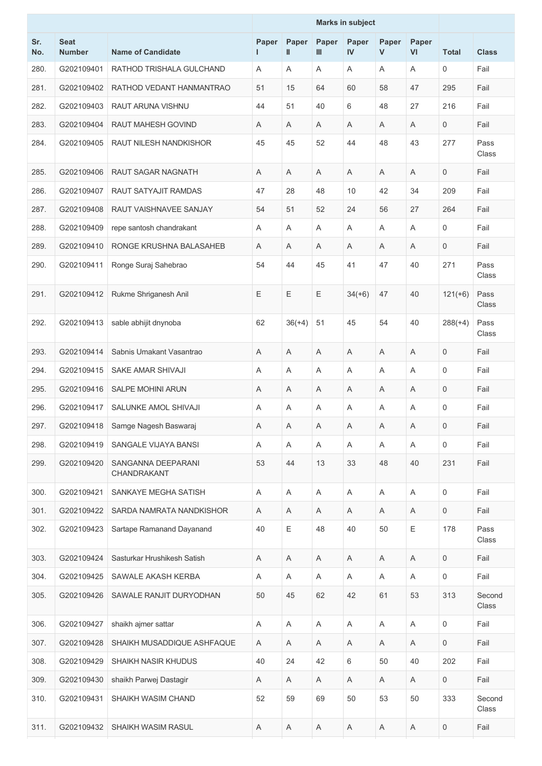|            |                              |                                   |            |             |                           | <b>Marks in subject</b> |            |                           |                     |                 |
|------------|------------------------------|-----------------------------------|------------|-------------|---------------------------|-------------------------|------------|---------------------------|---------------------|-----------------|
| Sr.<br>No. | <b>Seat</b><br><b>Number</b> | <b>Name of Candidate</b>          | Paper<br>L | Paper<br>Ш  | Paper<br>Ш                | Paper<br>IV             | Paper<br>V | Paper<br>VI               | <b>Total</b>        | <b>Class</b>    |
| 280.       | G202109401                   | RATHOD TRISHALA GULCHAND          | A          | A           | A                         | A                       | A          | A                         | $\mathbf 0$         | Fail            |
| 281.       | G202109402                   | RATHOD VEDANT HANMANTRAO          | 51         | 15          | 64                        | 60                      | 58         | 47                        | 295                 | Fail            |
| 282.       | G202109403                   | RAUT ARUNA VISHNU                 | 44         | 51          | 40                        | 6                       | 48         | 27                        | 216                 | Fail            |
| 283.       | G202109404                   | <b>RAUT MAHESH GOVIND</b>         | Α          | A           | Α                         | A                       | A          | A                         | $\mathsf{O}\xspace$ | Fail            |
| 284.       | G202109405                   | <b>RAUT NILESH NANDKISHOR</b>     | 45         | 45          | 52                        | 44                      | 48         | 43                        | 277                 | Pass<br>Class   |
| 285.       | G202109406                   | RAUT SAGAR NAGNATH                | A          | Α           | A                         | A                       | Α          | A                         | $\mathbf 0$         | Fail            |
| 286.       | G202109407                   | RAUT SATYAJIT RAMDAS              | 47         | 28          | 48                        | 10                      | 42         | 34                        | 209                 | Fail            |
| 287.       | G202109408                   | RAUT VAISHNAVEE SANJAY            | 54         | 51          | 52                        | 24                      | 56         | 27                        | 264                 | Fail            |
| 288.       | G202109409                   | repe santosh chandrakant          | A          | Α           | Α                         | A                       | Α          | A                         | 0                   | Fail            |
| 289.       | G202109410                   | RONGE KRUSHNA BALASAHEB           | Α          | A           | Α                         | Α                       | Α          | Α                         | $\mathbf 0$         | Fail            |
| 290.       | G202109411                   | Ronge Suraj Sahebrao              | 54         | 44          | 45                        | 41                      | 47         | 40                        | 271                 | Pass<br>Class   |
| 291.       | G202109412                   | Rukme Shriganesh Anil             | E          | E           | Ε                         | $34(+6)$                | 47         | 40                        | $121(+6)$           | Pass<br>Class   |
| 292.       | G202109413                   | sable abhijit dnynoba             | 62         | $36(+4)$    | 51                        | 45                      | 54         | 40                        | $288(+4)$           | Pass<br>Class   |
| 293.       | G202109414                   | Sabnis Umakant Vasantrao          | A          | Α           | Α                         | A                       | Α          | A                         | $\mathbf 0$         | Fail            |
| 294.       | G202109415                   | SAKE AMAR SHIVAJI                 | Α          | Α           | Α                         | A                       | Α          | A                         | $\mathsf{O}\xspace$ | Fail            |
| 295.       | G202109416                   | SALPE MOHINI ARUN                 | Α          | Α           | Α                         | A                       | Α          | A                         | $\mathbf 0$         | Fail            |
| 296.       | G202109417                   | SALUNKE AMOL SHIVAJI              | A          | A           | A                         | Α                       | A          | A                         | $\mathbf 0$         | Fail            |
| 297.       | G202109418                   | Samge Nagesh Baswaraj             | Α          | $\mathsf A$ | $\mathsf A$               | Α                       | Α          | Α                         | $\mathsf{O}$        | Fail            |
| 298.       | G202109419                   | SANGALE VIJAYA BANSI              | A          | Α           | $\boldsymbol{\mathsf{A}}$ | A                       | Α          | A                         | $\mathsf{O}$        | Fail            |
| 299.       | G202109420                   | SANGANNA DEEPARANI<br>CHANDRAKANT | 53         | 44          | 13                        | 33                      | 48         | 40                        | 231                 | Fail            |
| 300.       | G202109421                   | SANKAYE MEGHA SATISH              | Α          | A           | A                         | Α                       | Α          | A                         | 0                   | Fail            |
| 301.       | G202109422                   | SARDA NAMRATA NANDKISHOR          | Α          | A           | Α                         | Α                       | Α          | $\mathsf A$               | $\mathsf{O}\xspace$ | Fail            |
| 302.       | G202109423                   | Sartape Ramanand Dayanand         | 40         | Ε           | 48                        | 40                      | 50         | E                         | 178                 | Pass<br>Class   |
| 303.       | G202109424                   | Sasturkar Hrushikesh Satish       | Α          | A           | Α                         | Α                       | A          | Α                         | $\mathsf{O}$        | Fail            |
| 304.       | G202109425                   | SAWALE AKASH KERBA                | A          | Α           | A                         | A                       | A          | A                         | $\mathsf{O}$        | Fail            |
| 305.       | G202109426                   | SAWALE RANJIT DURYODHAN           | 50         | 45          | 62                        | 42                      | 61         | 53                        | 313                 | Second<br>Class |
| 306.       | G202109427                   | shaikh ajmer sattar               | A          | A           | Α                         | Α                       | Α          | A                         | $\mathsf{O}$        | Fail            |
| 307.       | G202109428                   | SHAIKH MUSADDIQUE ASHFAQUE        | Α          | Α           | $\boldsymbol{\mathsf{A}}$ | Α                       | A          | $\boldsymbol{\mathsf{A}}$ | $\mathsf{O}$        | Fail            |
| 308.       | G202109429                   | SHAIKH NASIR KHUDUS               | 40         | 24          | 42                        | 6                       | 50         | 40                        | 202                 | Fail            |
| 309.       | G202109430                   | shaikh Parwej Dastagir            | Α          | A           | Α                         | A                       | A          | A                         | $\mathbf 0$         | Fail            |
| 310.       | G202109431                   | SHAIKH WASIM CHAND                | 52         | 59          | 69                        | 50                      | 53         | 50                        | 333                 | Second<br>Class |
| 311.       | G202109432                   | SHAIKH WASIM RASUL                | Α          | Α           | A                         | Α                       | Α          | A                         | $\mathsf{O}$        | Fail            |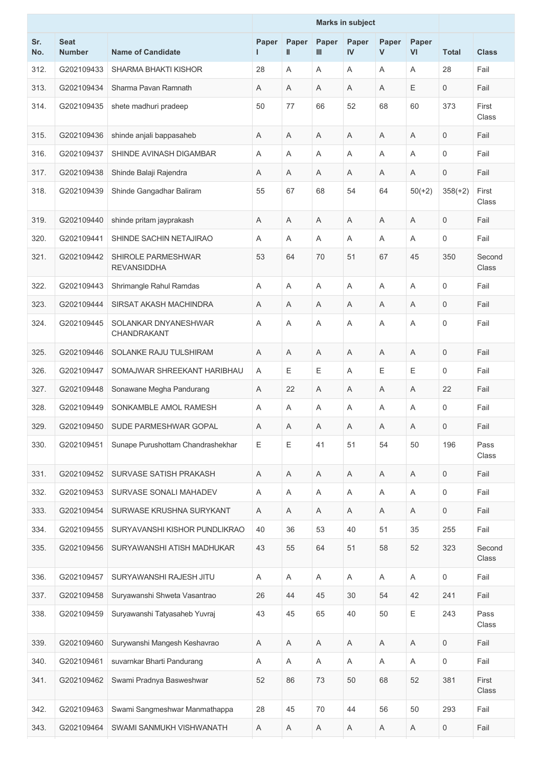|            |                              |                                          | <b>Marks in subject</b> |                           |              |                        |            |                         |                     |                 |
|------------|------------------------------|------------------------------------------|-------------------------|---------------------------|--------------|------------------------|------------|-------------------------|---------------------|-----------------|
| Sr.<br>No. | <b>Seat</b><br><b>Number</b> | <b>Name of Candidate</b>                 | Paper<br>Ι.             | Paper<br>II.              | Paper<br>III | Paper<br>$\mathsf{IV}$ | Paper<br>V | Paper<br>VI             | <b>Total</b>        | <b>Class</b>    |
| 312.       | G202109433                   | SHARMA BHAKTI KISHOR                     | 28                      | A                         | A            | A                      | A          | A                       | 28                  | Fail            |
| 313.       | G202109434                   | Sharma Pavan Ramnath                     | A                       | Α                         | A            | A                      | A          | Е                       | 0                   | Fail            |
| 314.       | G202109435                   | shete madhuri pradeep                    | 50                      | 77                        | 66           | 52                     | 68         | 60                      | 373                 | First<br>Class  |
| 315.       | G202109436                   | shinde anjali bappasaheb                 | A                       | A                         | A            | A                      | A          | $\mathsf A$             | 0                   | Fail            |
| 316.       | G202109437                   | SHINDE AVINASH DIGAMBAR                  | A                       | A                         | A            | Α                      | A          | Α                       | 0                   | Fail            |
| 317.       | G202109438                   | Shinde Balaji Rajendra                   | A                       | A                         | A            | A                      | A          | Α                       | 0                   | Fail            |
| 318.       | G202109439                   | Shinde Gangadhar Baliram                 | 55                      | 67                        | 68           | 54                     | 64         | $50(+2)$                | $358(+2)$           | First<br>Class  |
| 319.       | G202109440                   | shinde pritam jayprakash                 | A                       | A                         | A            | A                      | A          | A                       | 0                   | Fail            |
| 320.       | G202109441                   | SHINDE SACHIN NETAJIRAO                  | A                       | Α                         | A            | Α                      | A          | Α                       | 0                   | Fail            |
| 321.       | G202109442                   | SHIROLE PARMESHWAR<br><b>REVANSIDDHA</b> | 53                      | 64                        | 70           | 51                     | 67         | 45                      | 350                 | Second<br>Class |
| 322.       | G202109443                   | Shrimangle Rahul Ramdas                  | A                       | Α                         | Α            | Α                      | A          | Α                       | 0                   | Fail            |
| 323.       | G202109444                   | SIRSAT AKASH MACHINDRA                   | A                       | A                         | Α            | Α                      | A          | Α                       | 0                   | Fail            |
| 324.       | G202109445                   | SOLANKAR DNYANESHWAR<br>CHANDRAKANT      | Α                       | A                         | Α            | Α                      | A          | A                       | 0                   | Fail            |
| 325.       | G202109446                   | SOLANKE RAJU TULSHIRAM                   | A                       | A                         | A            | A                      | A          | A                       | 0                   | Fail            |
| 326.       | G202109447                   | SOMAJWAR SHREEKANT HARIBHAU              | A                       | E                         | Ε            | Α                      | E          | E                       | 0                   | Fail            |
| 327.       | G202109448                   | Sonawane Megha Pandurang                 | A                       | 22                        | Α            | Α                      | A          | A                       | 22                  | Fail            |
| 328.       | G202109449                   | SONKAMBLE AMOL RAMESH                    | A                       | Α                         | Α            | Α                      | Α          | Α                       | 0                   | Fail            |
| 329.       | G202109450                   | SUDE PARMESHWAR GOPAL                    | A                       | A                         | A            | A                      | A          | A                       | 0                   | Fail            |
| 330.       | G202109451                   | Sunape Purushottam Chandrashekhar        | E                       | Е                         | 41           | 51                     | 54         | 50                      | 196                 | Pass<br>Class   |
| 331.       | G202109452                   | SURVASE SATISH PRAKASH                   | A                       | A                         | A            | A                      | A          | $\overline{\mathsf{A}}$ | 0                   | Fail            |
| 332.       | G202109453                   | SURVASE SONALI MAHADEV                   | Α                       | $\boldsymbol{\mathsf{A}}$ | A            | Α                      | A          | $\mathsf A$             | 0                   | Fail            |
| 333.       | G202109454                   | SURWASE KRUSHNA SURYKANT                 | A                       | A                         | Α            | Α                      | A          | A                       | 0                   | Fail            |
| 334.       | G202109455                   | SURYAVANSHI KISHOR PUNDLIKRAO            | 40                      | 36                        | 53           | 40                     | 51         | 35                      | 255                 | Fail            |
| 335.       | G202109456                   | SURYAWANSHI ATISH MADHUKAR               | 43                      | 55                        | 64           | 51                     | 58         | 52                      | 323                 | Second<br>Class |
| 336.       | G202109457                   | SURYAWANSHI RAJESH JITU                  | A                       | A                         | A            | A                      | A          | A                       | $\mathsf{O}\xspace$ | Fail            |
| 337.       | G202109458                   | Suryawanshi Shweta Vasantrao             | 26                      | 44                        | 45           | 30                     | 54         | 42                      | 241                 | Fail            |
| 338.       | G202109459                   | Suryawanshi Tatyasaheb Yuvraj            | 43                      | 45                        | 65           | 40                     | 50         | Ε                       | 243                 | Pass<br>Class   |
| 339.       | G202109460                   | Surywanshi Mangesh Keshavrao             | A                       | Α                         | A            | Α                      | A          | A                       | $\mathbf 0$         | Fail            |
| 340.       | G202109461                   | suvarnkar Bharti Pandurang               | Α                       | Α                         | A            | Α                      | A          | Α                       | 0                   | Fail            |
| 341.       | G202109462                   | Swami Pradnya Basweshwar                 | 52                      | 86                        | 73           | 50                     | 68         | 52                      | 381                 | First<br>Class  |
| 342.       | G202109463                   | Swami Sangmeshwar Manmathappa            | 28                      | 45                        | 70           | 44                     | 56         | 50                      | 293                 | Fail            |
| 343.       | G202109464                   | SWAMI SANMUKH VISHWANATH                 | Α                       | A                         | A            | A                      | Α          | Α                       | 0                   | Fail            |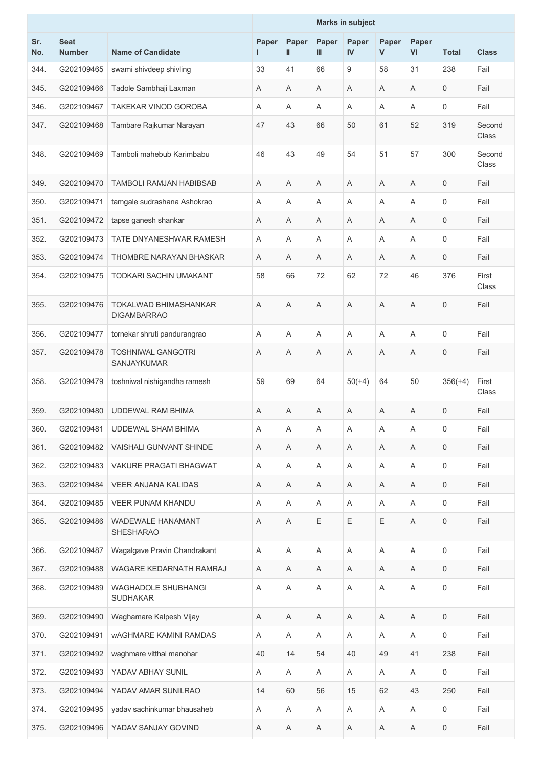|            |                              |                                               |            |            |             | <b>Marks in subject</b> |                       |                |              |                 |
|------------|------------------------------|-----------------------------------------------|------------|------------|-------------|-------------------------|-----------------------|----------------|--------------|-----------------|
| Sr.<br>No. | <b>Seat</b><br><b>Number</b> | <b>Name of Candidate</b>                      | Paper<br>L | Paper<br>Ш | Paper<br>Ш  | Paper<br>IV             | Paper<br>$\mathsf{V}$ | Paper<br>VI    | <b>Total</b> | <b>Class</b>    |
| 344.       | G202109465                   | swami shivdeep shivling                       | 33         | 41         | 66          | 9                       | 58                    | 31             | 238          | Fail            |
| 345.       | G202109466                   | Tadole Sambhaji Laxman                        | Α          | A          | Α           | A                       | A                     | Α              | 0            | Fail            |
| 346.       | G202109467                   | TAKEKAR VINOD GOROBA                          | A          | A          | Α           | A                       | A                     | A              | 0            | Fail            |
| 347.       | G202109468                   | Tambare Rajkumar Narayan                      | 47         | 43         | 66          | 50                      | 61                    | 52             | 319          | Second<br>Class |
| 348.       | G202109469                   | Tamboli mahebub Karimbabu                     | 46         | 43         | 49          | 54                      | 51                    | 57             | 300          | Second<br>Class |
| 349.       | G202109470                   | <b>TAMBOLI RAMJAN HABIBSAB</b>                | A          | A          | Α           | A                       | A                     | Α              | 0            | Fail            |
| 350.       | G202109471                   | tamgale sudrashana Ashokrao                   | A          | A          | Α           | Α                       | A                     | A              | 0            | Fail            |
| 351.       | G202109472                   | tapse ganesh shankar                          | A          | A          | Α           | Α                       | A                     | A              | 0            | Fail            |
| 352.       | G202109473                   | TATE DNYANESHWAR RAMESH                       | A          | A          | Α           | Α                       | A                     | A              | 0            | Fail            |
| 353.       | G202109474                   | THOMBRE NARAYAN BHASKAR                       | A          | A          | A           | A                       | A                     | A              | 0            | Fail            |
| 354.       | G202109475                   | <b>TODKARI SACHIN UMAKANT</b>                 | 58         | 66         | 72          | 62                      | 72                    | 46             | 376          | First<br>Class  |
| 355.       | G202109476                   | TOKALWAD BHIMASHANKAR<br><b>DIGAMBARRAO</b>   | A          | Α          | A           | Α                       | A                     | $\mathsf A$    | 0            | Fail            |
| 356.       | G202109477                   | tornekar shruti pandurangrao                  | A          | A          | Α           | A                       | A                     | A              | 0            | Fail            |
| 357.       | G202109478                   | <b>TOSHNIWAL GANGOTRI</b><br>SANJAYKUMAR      | Α          | Α          | Α           | Α                       | Α                     | Α              | 0            | Fail            |
| 358.       | G202109479                   | toshniwal nishigandha ramesh                  | 59         | 69         | 64          | $50(+4)$                | 64                    | 50             | $356(+4)$    | First<br>Class  |
| 359.       | G202109480                   | UDDEWAL RAM BHIMA                             | A          | A          | A           | A                       | A                     | A              | 0            | Fail            |
| 360.       | G202109481                   | <b>UDDEWAL SHAM BHIMA</b>                     | Α          | Α          | A           | Α                       | Α                     | Α              | 0            | Fail            |
| 361.       | G202109482                   | <b>VAISHALI GUNVANT SHINDE</b>                | A          | A          | $\mathsf A$ | A                       | A                     | Α              | 0            | Fail            |
| 362.       | G202109483                   | VAKURE PRAGATI BHAGWAT                        | A          | A          | A           | Α                       | A                     | A              | 0            | Fail            |
| 363.       | G202109484                   | VEER ANJANA KALIDAS                           | Α          | A          | Α           | Α                       | A                     | A              | 0            | Fail            |
| 364.       | G202109485                   | <b>VEER PUNAM KHANDU</b>                      | A          | A          | A           | A                       | A                     | A              | 0            | Fail            |
| 365.       | G202109486                   | WADEWALE HANAMANT<br><b>SHESHARAO</b>         | Α          | A          | Ε           | Ε                       | E                     | A              | 0            | Fail            |
| 366.       | G202109487                   | Wagalgave Pravin Chandrakant                  | A          | A          | Α           | A                       | A                     | $\overline{A}$ | $\mathbf 0$  | Fail            |
| 367.       | G202109488                   | WAGARE KEDARNATH RAMRAJ                       | Α          | Α          | Α           | Α                       | Α                     | Α              | 0            | Fail            |
| 368.       | G202109489                   | <b>WAGHADOLE SHUBHANGI</b><br><b>SUDHAKAR</b> | A          | A          | A           | A                       | A                     | A              | 0            | Fail            |
| 369.       | G202109490                   | Waghamare Kalpesh Vijay                       | A          | A          | Α           | Α                       | A                     | Α              | $\mathbf 0$  | Fail            |
| 370.       | G202109491                   | <b>WAGHMARE KAMINI RAMDAS</b>                 | A          | A          | A           | A                       | A                     | A              | $\mathsf{O}$ | Fail            |
| 371.       | G202109492                   | waghmare vitthal manohar                      | 40         | 14         | 54          | 40                      | 49                    | 41             | 238          | Fail            |
| 372.       | G202109493                   | YADAV ABHAY SUNIL                             | Α          | A          | A           | Α                       | A                     | A              | 0            | Fail            |
| 373.       | G202109494                   | YADAV AMAR SUNILRAO                           | 14         | 60         | 56          | 15                      | 62                    | 43             | 250          | Fail            |
| 374.       | G202109495                   | yadav sachinkumar bhausaheb                   | Α          | A          | A           | Α                       | Α                     | Α              | 0            | Fail            |
| 375.       | G202109496                   | YADAV SANJAY GOVIND                           | A          | A          | Α           | Α                       | Α                     | Α              | 0            | Fail            |